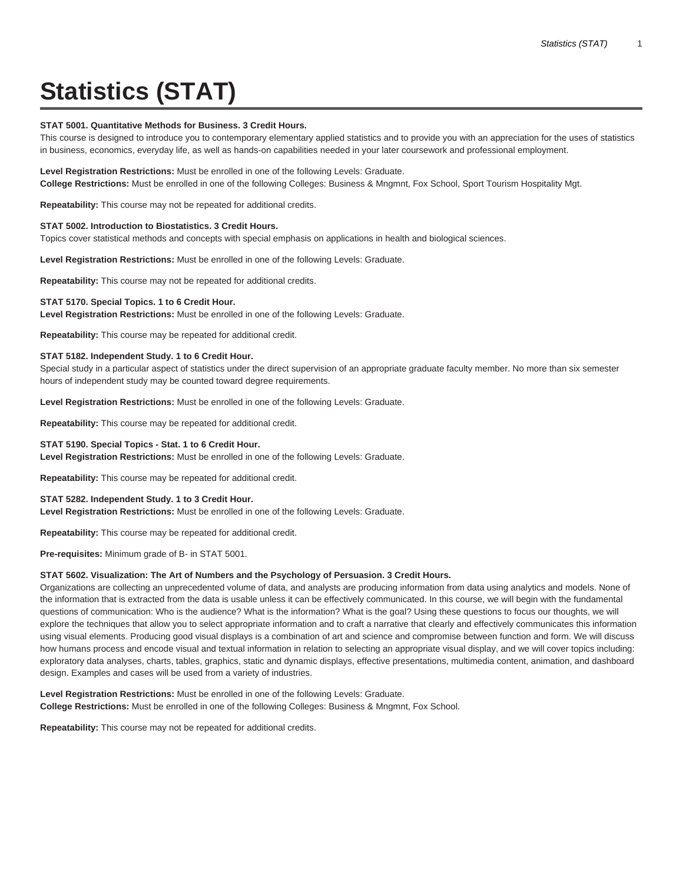# **Statistics (STAT)**

## **STAT 5001. Quantitative Methods for Business. 3 Credit Hours.**

This course is designed to introduce you to contemporary elementary applied statistics and to provide you with an appreciation for the uses of statistics in business, economics, everyday life, as well as hands-on capabilities needed in your later coursework and professional employment.

**Level Registration Restrictions:** Must be enrolled in one of the following Levels: Graduate. **College Restrictions:** Must be enrolled in one of the following Colleges: Business & Mngmnt, Fox School, Sport Tourism Hospitality Mgt.

**Repeatability:** This course may not be repeated for additional credits.

#### **STAT 5002. Introduction to Biostatistics. 3 Credit Hours.**

Topics cover statistical methods and concepts with special emphasis on applications in health and biological sciences.

**Level Registration Restrictions:** Must be enrolled in one of the following Levels: Graduate.

**Repeatability:** This course may not be repeated for additional credits.

#### **STAT 5170. Special Topics. 1 to 6 Credit Hour.**

**Level Registration Restrictions:** Must be enrolled in one of the following Levels: Graduate.

**Repeatability:** This course may be repeated for additional credit.

# **STAT 5182. Independent Study. 1 to 6 Credit Hour.**

Special study in a particular aspect of statistics under the direct supervision of an appropriate graduate faculty member. No more than six semester hours of independent study may be counted toward degree requirements.

**Level Registration Restrictions:** Must be enrolled in one of the following Levels: Graduate.

**Repeatability:** This course may be repeated for additional credit.

# **STAT 5190. Special Topics - Stat. 1 to 6 Credit Hour.**

**Level Registration Restrictions:** Must be enrolled in one of the following Levels: Graduate.

**Repeatability:** This course may be repeated for additional credit.

#### **STAT 5282. Independent Study. 1 to 3 Credit Hour.**

**Level Registration Restrictions:** Must be enrolled in one of the following Levels: Graduate.

**Repeatability:** This course may be repeated for additional credit.

**Pre-requisites:** Minimum grade of B- in STAT 5001.

#### **STAT 5602. Visualization: The Art of Numbers and the Psychology of Persuasion. 3 Credit Hours.**

Organizations are collecting an unprecedented volume of data, and analysts are producing information from data using analytics and models. None of the information that is extracted from the data is usable unless it can be effectively communicated. In this course, we will begin with the fundamental questions of communication: Who is the audience? What is the information? What is the goal? Using these questions to focus our thoughts, we will explore the techniques that allow you to select appropriate information and to craft a narrative that clearly and effectively communicates this information using visual elements. Producing good visual displays is a combination of art and science and compromise between function and form. We will discuss how humans process and encode visual and textual information in relation to selecting an appropriate visual display, and we will cover topics including: exploratory data analyses, charts, tables, graphics, static and dynamic displays, effective presentations, multimedia content, animation, and dashboard design. Examples and cases will be used from a variety of industries.

**Level Registration Restrictions:** Must be enrolled in one of the following Levels: Graduate. **College Restrictions:** Must be enrolled in one of the following Colleges: Business & Mngmnt, Fox School.

**Repeatability:** This course may not be repeated for additional credits.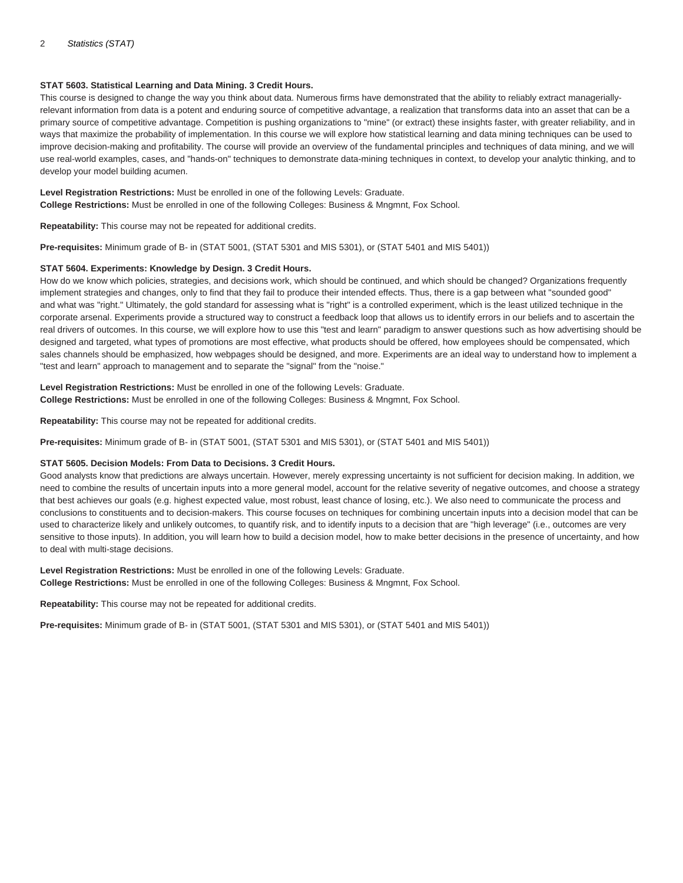# **STAT 5603. Statistical Learning and Data Mining. 3 Credit Hours.**

This course is designed to change the way you think about data. Numerous firms have demonstrated that the ability to reliably extract manageriallyrelevant information from data is a potent and enduring source of competitive advantage, a realization that transforms data into an asset that can be a primary source of competitive advantage. Competition is pushing organizations to "mine" (or extract) these insights faster, with greater reliability, and in ways that maximize the probability of implementation. In this course we will explore how statistical learning and data mining techniques can be used to improve decision-making and profitability. The course will provide an overview of the fundamental principles and techniques of data mining, and we will use real-world examples, cases, and "hands-on" techniques to demonstrate data-mining techniques in context, to develop your analytic thinking, and to develop your model building acumen.

**Level Registration Restrictions:** Must be enrolled in one of the following Levels: Graduate. **College Restrictions:** Must be enrolled in one of the following Colleges: Business & Mngmnt, Fox School.

**Repeatability:** This course may not be repeated for additional credits.

**Pre-requisites:** Minimum grade of B- in (STAT 5001, (STAT 5301 and MIS 5301), or (STAT 5401 and MIS 5401))

# **STAT 5604. Experiments: Knowledge by Design. 3 Credit Hours.**

How do we know which policies, strategies, and decisions work, which should be continued, and which should be changed? Organizations frequently implement strategies and changes, only to find that they fail to produce their intended effects. Thus, there is a gap between what "sounded good" and what was "right." Ultimately, the gold standard for assessing what is "right" is a controlled experiment, which is the least utilized technique in the corporate arsenal. Experiments provide a structured way to construct a feedback loop that allows us to identify errors in our beliefs and to ascertain the real drivers of outcomes. In this course, we will explore how to use this "test and learn" paradigm to answer questions such as how advertising should be designed and targeted, what types of promotions are most effective, what products should be offered, how employees should be compensated, which sales channels should be emphasized, how webpages should be designed, and more. Experiments are an ideal way to understand how to implement a "test and learn" approach to management and to separate the "signal" from the "noise."

**Level Registration Restrictions:** Must be enrolled in one of the following Levels: Graduate. **College Restrictions:** Must be enrolled in one of the following Colleges: Business & Mngmnt, Fox School.

**Repeatability:** This course may not be repeated for additional credits.

**Pre-requisites:** Minimum grade of B- in (STAT 5001, (STAT 5301 and MIS 5301), or (STAT 5401 and MIS 5401))

# **STAT 5605. Decision Models: From Data to Decisions. 3 Credit Hours.**

Good analysts know that predictions are always uncertain. However, merely expressing uncertainty is not sufficient for decision making. In addition, we need to combine the results of uncertain inputs into a more general model, account for the relative severity of negative outcomes, and choose a strategy that best achieves our goals (e.g. highest expected value, most robust, least chance of losing, etc.). We also need to communicate the process and conclusions to constituents and to decision-makers. This course focuses on techniques for combining uncertain inputs into a decision model that can be used to characterize likely and unlikely outcomes, to quantify risk, and to identify inputs to a decision that are "high leverage" (i.e., outcomes are very sensitive to those inputs). In addition, you will learn how to build a decision model, how to make better decisions in the presence of uncertainty, and how to deal with multi-stage decisions.

**Level Registration Restrictions:** Must be enrolled in one of the following Levels: Graduate. **College Restrictions:** Must be enrolled in one of the following Colleges: Business & Mngmnt, Fox School.

**Repeatability:** This course may not be repeated for additional credits.

**Pre-requisites:** Minimum grade of B- in (STAT 5001, (STAT 5301 and MIS 5301), or (STAT 5401 and MIS 5401))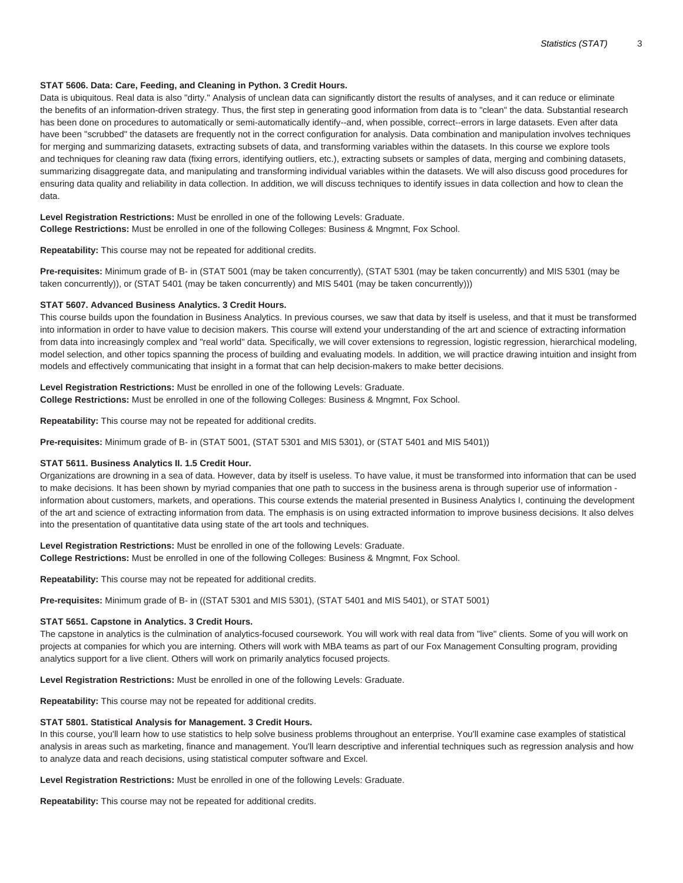# **STAT 5606. Data: Care, Feeding, and Cleaning in Python. 3 Credit Hours.**

Data is ubiquitous. Real data is also "dirty." Analysis of unclean data can significantly distort the results of analyses, and it can reduce or eliminate the benefits of an information-driven strategy. Thus, the first step in generating good information from data is to "clean" the data. Substantial research has been done on procedures to automatically or semi-automatically identify--and, when possible, correct--errors in large datasets. Even after data have been "scrubbed" the datasets are frequently not in the correct configuration for analysis. Data combination and manipulation involves techniques for merging and summarizing datasets, extracting subsets of data, and transforming variables within the datasets. In this course we explore tools and techniques for cleaning raw data (fixing errors, identifying outliers, etc.), extracting subsets or samples of data, merging and combining datasets, summarizing disaggregate data, and manipulating and transforming individual variables within the datasets. We will also discuss good procedures for ensuring data quality and reliability in data collection. In addition, we will discuss techniques to identify issues in data collection and how to clean the data.

**Level Registration Restrictions:** Must be enrolled in one of the following Levels: Graduate. **College Restrictions:** Must be enrolled in one of the following Colleges: Business & Mngmnt, Fox School.

**Repeatability:** This course may not be repeated for additional credits.

**Pre-requisites:** Minimum grade of B- in (STAT 5001 (may be taken concurrently), (STAT 5301 (may be taken concurrently) and MIS 5301 (may be taken concurrently)), or (STAT 5401 (may be taken concurrently) and MIS 5401 (may be taken concurrently)))

#### **STAT 5607. Advanced Business Analytics. 3 Credit Hours.**

This course builds upon the foundation in Business Analytics. In previous courses, we saw that data by itself is useless, and that it must be transformed into information in order to have value to decision makers. This course will extend your understanding of the art and science of extracting information from data into increasingly complex and "real world" data. Specifically, we will cover extensions to regression, logistic regression, hierarchical modeling, model selection, and other topics spanning the process of building and evaluating models. In addition, we will practice drawing intuition and insight from models and effectively communicating that insight in a format that can help decision-makers to make better decisions.

# **Level Registration Restrictions:** Must be enrolled in one of the following Levels: Graduate.

**College Restrictions:** Must be enrolled in one of the following Colleges: Business & Mngmnt, Fox School.

**Repeatability:** This course may not be repeated for additional credits.

**Pre-requisites:** Minimum grade of B- in (STAT 5001, (STAT 5301 and MIS 5301), or (STAT 5401 and MIS 5401))

# **STAT 5611. Business Analytics II. 1.5 Credit Hour.**

Organizations are drowning in a sea of data. However, data by itself is useless. To have value, it must be transformed into information that can be used to make decisions. It has been shown by myriad companies that one path to success in the business arena is through superior use of information information about customers, markets, and operations. This course extends the material presented in Business Analytics I, continuing the development of the art and science of extracting information from data. The emphasis is on using extracted information to improve business decisions. It also delves into the presentation of quantitative data using state of the art tools and techniques.

**Level Registration Restrictions:** Must be enrolled in one of the following Levels: Graduate. **College Restrictions:** Must be enrolled in one of the following Colleges: Business & Mngmnt, Fox School.

**Repeatability:** This course may not be repeated for additional credits.

**Pre-requisites:** Minimum grade of B- in ((STAT 5301 and MIS 5301), (STAT 5401 and MIS 5401), or STAT 5001)

#### **STAT 5651. Capstone in Analytics. 3 Credit Hours.**

The capstone in analytics is the culmination of analytics-focused coursework. You will work with real data from "live" clients. Some of you will work on projects at companies for which you are interning. Others will work with MBA teams as part of our Fox Management Consulting program, providing analytics support for a live client. Others will work on primarily analytics focused projects.

**Level Registration Restrictions:** Must be enrolled in one of the following Levels: Graduate.

**Repeatability:** This course may not be repeated for additional credits.

#### **STAT 5801. Statistical Analysis for Management. 3 Credit Hours.**

In this course, you'll learn how to use statistics to help solve business problems throughout an enterprise. You'll examine case examples of statistical analysis in areas such as marketing, finance and management. You'll learn descriptive and inferential techniques such as regression analysis and how to analyze data and reach decisions, using statistical computer software and Excel.

**Level Registration Restrictions:** Must be enrolled in one of the following Levels: Graduate.

**Repeatability:** This course may not be repeated for additional credits.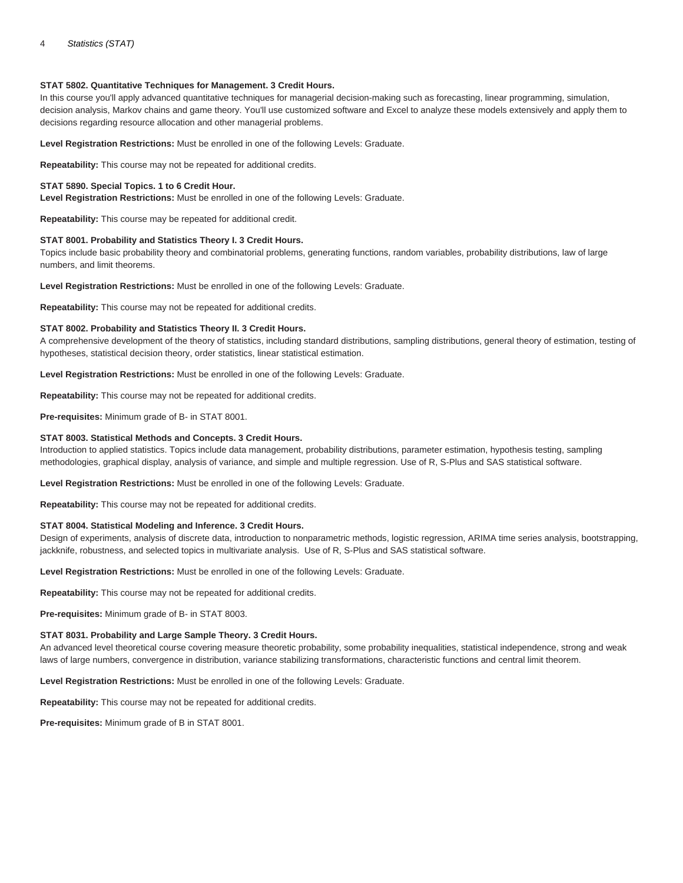## **STAT 5802. Quantitative Techniques for Management. 3 Credit Hours.**

In this course you'll apply advanced quantitative techniques for managerial decision-making such as forecasting, linear programming, simulation, decision analysis, Markov chains and game theory. You'll use customized software and Excel to analyze these models extensively and apply them to decisions regarding resource allocation and other managerial problems.

**Level Registration Restrictions:** Must be enrolled in one of the following Levels: Graduate.

**Repeatability:** This course may not be repeated for additional credits.

# **STAT 5890. Special Topics. 1 to 6 Credit Hour.**

**Level Registration Restrictions:** Must be enrolled in one of the following Levels: Graduate.

**Repeatability:** This course may be repeated for additional credit.

## **STAT 8001. Probability and Statistics Theory I. 3 Credit Hours.**

Topics include basic probability theory and combinatorial problems, generating functions, random variables, probability distributions, law of large numbers, and limit theorems.

**Level Registration Restrictions:** Must be enrolled in one of the following Levels: Graduate.

**Repeatability:** This course may not be repeated for additional credits.

## **STAT 8002. Probability and Statistics Theory II. 3 Credit Hours.**

A comprehensive development of the theory of statistics, including standard distributions, sampling distributions, general theory of estimation, testing of hypotheses, statistical decision theory, order statistics, linear statistical estimation.

**Level Registration Restrictions:** Must be enrolled in one of the following Levels: Graduate.

**Repeatability:** This course may not be repeated for additional credits.

**Pre-requisites:** Minimum grade of B- in STAT 8001.

## **STAT 8003. Statistical Methods and Concepts. 3 Credit Hours.**

Introduction to applied statistics. Topics include data management, probability distributions, parameter estimation, hypothesis testing, sampling methodologies, graphical display, analysis of variance, and simple and multiple regression. Use of R, S-Plus and SAS statistical software.

**Level Registration Restrictions:** Must be enrolled in one of the following Levels: Graduate.

**Repeatability:** This course may not be repeated for additional credits.

# **STAT 8004. Statistical Modeling and Inference. 3 Credit Hours.**

Design of experiments, analysis of discrete data, introduction to nonparametric methods, logistic regression, ARIMA time series analysis, bootstrapping, jackknife, robustness, and selected topics in multivariate analysis. Use of R, S-Plus and SAS statistical software.

**Level Registration Restrictions:** Must be enrolled in one of the following Levels: Graduate.

**Repeatability:** This course may not be repeated for additional credits.

**Pre-requisites:** Minimum grade of B- in STAT 8003.

# **STAT 8031. Probability and Large Sample Theory. 3 Credit Hours.**

An advanced level theoretical course covering measure theoretic probability, some probability inequalities, statistical independence, strong and weak laws of large numbers, convergence in distribution, variance stabilizing transformations, characteristic functions and central limit theorem.

**Level Registration Restrictions:** Must be enrolled in one of the following Levels: Graduate.

**Repeatability:** This course may not be repeated for additional credits.

**Pre-requisites:** Minimum grade of B in STAT 8001.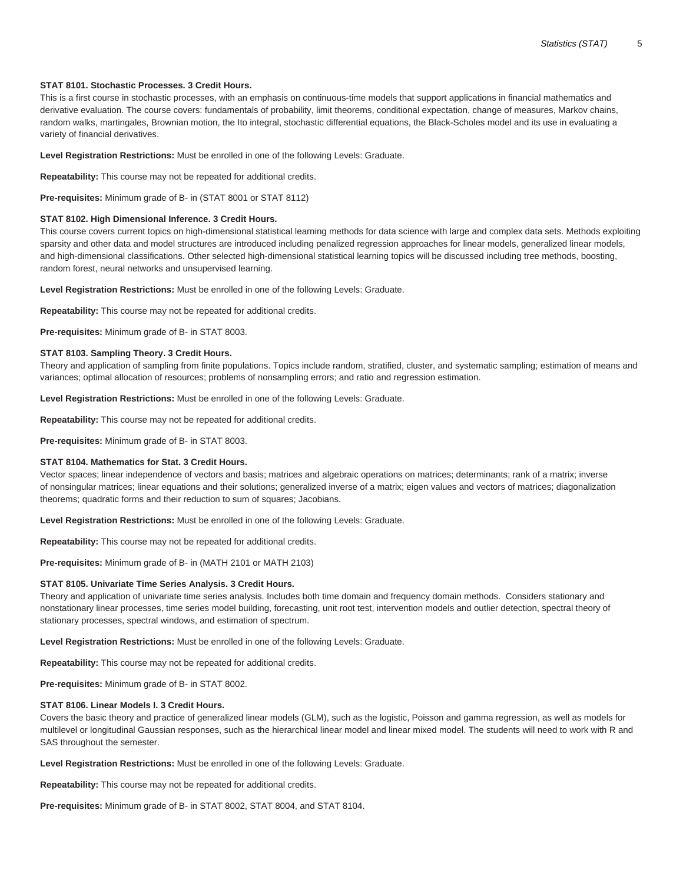# **STAT 8101. Stochastic Processes. 3 Credit Hours.**

This is a first course in stochastic processes, with an emphasis on continuous-time models that support applications in financial mathematics and derivative evaluation. The course covers: fundamentals of probability, limit theorems, conditional expectation, change of measures, Markov chains, random walks, martingales, Brownian motion, the Ito integral, stochastic differential equations, the Black-Scholes model and its use in evaluating a variety of financial derivatives.

**Level Registration Restrictions:** Must be enrolled in one of the following Levels: Graduate.

**Repeatability:** This course may not be repeated for additional credits.

**Pre-requisites:** Minimum grade of B- in (STAT 8001 or STAT 8112)

#### **STAT 8102. High Dimensional Inference. 3 Credit Hours.**

This course covers current topics on high-dimensional statistical learning methods for data science with large and complex data sets. Methods exploiting sparsity and other data and model structures are introduced including penalized regression approaches for linear models, generalized linear models, and high-dimensional classifications. Other selected high-dimensional statistical learning topics will be discussed including tree methods, boosting, random forest, neural networks and unsupervised learning.

**Level Registration Restrictions:** Must be enrolled in one of the following Levels: Graduate.

**Repeatability:** This course may not be repeated for additional credits.

**Pre-requisites:** Minimum grade of B- in STAT 8003.

#### **STAT 8103. Sampling Theory. 3 Credit Hours.**

Theory and application of sampling from finite populations. Topics include random, stratified, cluster, and systematic sampling; estimation of means and variances; optimal allocation of resources; problems of nonsampling errors; and ratio and regression estimation.

**Level Registration Restrictions:** Must be enrolled in one of the following Levels: Graduate.

**Repeatability:** This course may not be repeated for additional credits.

**Pre-requisites:** Minimum grade of B- in STAT 8003.

#### **STAT 8104. Mathematics for Stat. 3 Credit Hours.**

Vector spaces; linear independence of vectors and basis; matrices and algebraic operations on matrices; determinants; rank of a matrix; inverse of nonsingular matrices; linear equations and their solutions; generalized inverse of a matrix; eigen values and vectors of matrices; diagonalization theorems; quadratic forms and their reduction to sum of squares; Jacobians.

**Level Registration Restrictions:** Must be enrolled in one of the following Levels: Graduate.

**Repeatability:** This course may not be repeated for additional credits.

**Pre-requisites:** Minimum grade of B- in (MATH 2101 or MATH 2103)

#### **STAT 8105. Univariate Time Series Analysis. 3 Credit Hours.**

Theory and application of univariate time series analysis. Includes both time domain and frequency domain methods. Considers stationary and nonstationary linear processes, time series model building, forecasting, unit root test, intervention models and outlier detection, spectral theory of stationary processes, spectral windows, and estimation of spectrum.

**Level Registration Restrictions:** Must be enrolled in one of the following Levels: Graduate.

**Repeatability:** This course may not be repeated for additional credits.

**Pre-requisites:** Minimum grade of B- in STAT 8002.

#### **STAT 8106. Linear Models I. 3 Credit Hours.**

Covers the basic theory and practice of generalized linear models (GLM), such as the logistic, Poisson and gamma regression, as well as models for multilevel or longitudinal Gaussian responses, such as the hierarchical linear model and linear mixed model. The students will need to work with R and SAS throughout the semester.

**Level Registration Restrictions:** Must be enrolled in one of the following Levels: Graduate.

**Repeatability:** This course may not be repeated for additional credits.

**Pre-requisites:** Minimum grade of B- in STAT 8002, STAT 8004, and STAT 8104.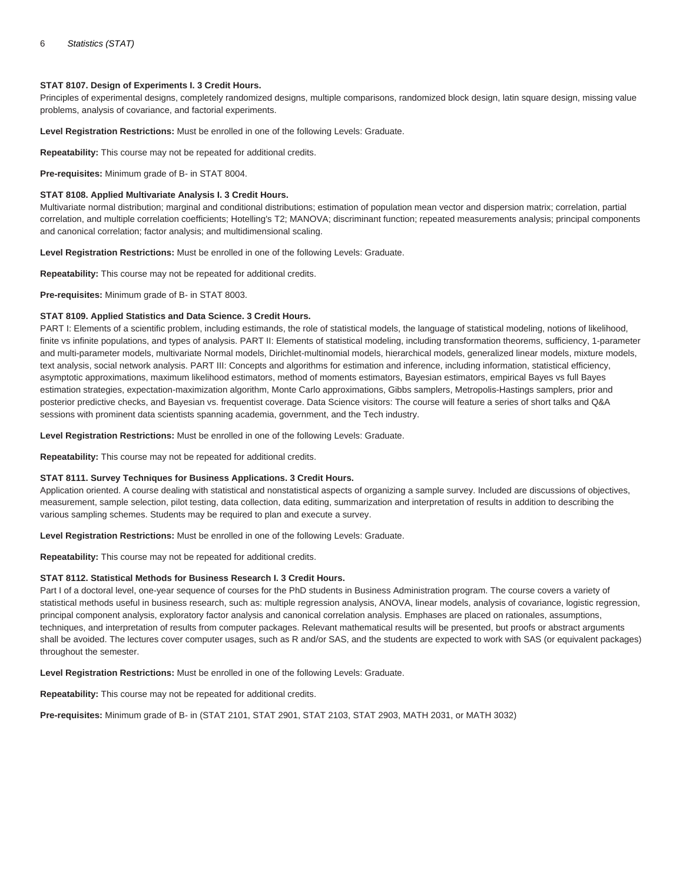# **STAT 8107. Design of Experiments I. 3 Credit Hours.**

Principles of experimental designs, completely randomized designs, multiple comparisons, randomized block design, latin square design, missing value problems, analysis of covariance, and factorial experiments.

**Level Registration Restrictions:** Must be enrolled in one of the following Levels: Graduate.

**Repeatability:** This course may not be repeated for additional credits.

**Pre-requisites:** Minimum grade of B- in STAT 8004.

# **STAT 8108. Applied Multivariate Analysis I. 3 Credit Hours.**

Multivariate normal distribution; marginal and conditional distributions; estimation of population mean vector and dispersion matrix; correlation, partial correlation, and multiple correlation coefficients; Hotelling's T2; MANOVA; discriminant function; repeated measurements analysis; principal components and canonical correlation; factor analysis; and multidimensional scaling.

**Level Registration Restrictions:** Must be enrolled in one of the following Levels: Graduate.

**Repeatability:** This course may not be repeated for additional credits.

**Pre-requisites:** Minimum grade of B- in STAT 8003.

# **STAT 8109. Applied Statistics and Data Science. 3 Credit Hours.**

PART I: Elements of a scientific problem, including estimands, the role of statistical models, the language of statistical modeling, notions of likelihood, finite vs infinite populations, and types of analysis. PART II: Elements of statistical modeling, including transformation theorems, sufficiency, 1-parameter and multi-parameter models, multivariate Normal models, Dirichlet-multinomial models, hierarchical models, generalized linear models, mixture models, text analysis, social network analysis. PART III: Concepts and algorithms for estimation and inference, including information, statistical efficiency, asymptotic approximations, maximum likelihood estimators, method of moments estimators, Bayesian estimators, empirical Bayes vs full Bayes estimation strategies, expectation-maximization algorithm, Monte Carlo approximations, Gibbs samplers, Metropolis-Hastings samplers, prior and posterior predictive checks, and Bayesian vs. frequentist coverage. Data Science visitors: The course will feature a series of short talks and Q&A sessions with prominent data scientists spanning academia, government, and the Tech industry.

**Level Registration Restrictions:** Must be enrolled in one of the following Levels: Graduate.

**Repeatability:** This course may not be repeated for additional credits.

#### **STAT 8111. Survey Techniques for Business Applications. 3 Credit Hours.**

Application oriented. A course dealing with statistical and nonstatistical aspects of organizing a sample survey. Included are discussions of objectives, measurement, sample selection, pilot testing, data collection, data editing, summarization and interpretation of results in addition to describing the various sampling schemes. Students may be required to plan and execute a survey.

**Level Registration Restrictions:** Must be enrolled in one of the following Levels: Graduate.

**Repeatability:** This course may not be repeated for additional credits.

#### **STAT 8112. Statistical Methods for Business Research I. 3 Credit Hours.**

Part I of a doctoral level, one-year sequence of courses for the PhD students in Business Administration program. The course covers a variety of statistical methods useful in business research, such as: multiple regression analysis, ANOVA, linear models, analysis of covariance, logistic regression, principal component analysis, exploratory factor analysis and canonical correlation analysis. Emphases are placed on rationales, assumptions, techniques, and interpretation of results from computer packages. Relevant mathematical results will be presented, but proofs or abstract arguments shall be avoided. The lectures cover computer usages, such as R and/or SAS, and the students are expected to work with SAS (or equivalent packages) throughout the semester.

**Level Registration Restrictions:** Must be enrolled in one of the following Levels: Graduate.

**Repeatability:** This course may not be repeated for additional credits.

**Pre-requisites:** Minimum grade of B- in (STAT 2101, STAT 2901, STAT 2103, STAT 2903, MATH 2031, or MATH 3032)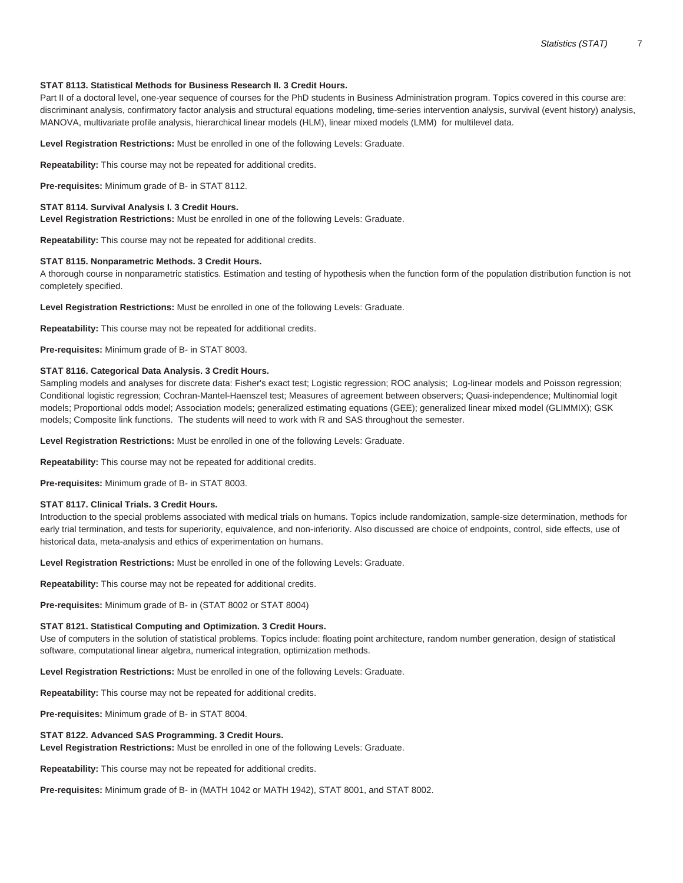# **STAT 8113. Statistical Methods for Business Research II. 3 Credit Hours.**

Part II of a doctoral level, one-year sequence of courses for the PhD students in Business Administration program. Topics covered in this course are: discriminant analysis, confirmatory factor analysis and structural equations modeling, time-series intervention analysis, survival (event history) analysis, MANOVA, multivariate profile analysis, hierarchical linear models (HLM), linear mixed models (LMM) for multilevel data.

**Level Registration Restrictions:** Must be enrolled in one of the following Levels: Graduate.

**Repeatability:** This course may not be repeated for additional credits.

**Pre-requisites:** Minimum grade of B- in STAT 8112.

# **STAT 8114. Survival Analysis I. 3 Credit Hours.**

**Level Registration Restrictions:** Must be enrolled in one of the following Levels: Graduate.

**Repeatability:** This course may not be repeated for additional credits.

# **STAT 8115. Nonparametric Methods. 3 Credit Hours.**

A thorough course in nonparametric statistics. Estimation and testing of hypothesis when the function form of the population distribution function is not completely specified.

**Level Registration Restrictions:** Must be enrolled in one of the following Levels: Graduate.

**Repeatability:** This course may not be repeated for additional credits.

**Pre-requisites:** Minimum grade of B- in STAT 8003.

# **STAT 8116. Categorical Data Analysis. 3 Credit Hours.**

Sampling models and analyses for discrete data: Fisher's exact test; Logistic regression; ROC analysis; Log-linear models and Poisson regression; Conditional logistic regression; Cochran-Mantel-Haenszel test; Measures of agreement between observers; Quasi-independence; Multinomial logit models; Proportional odds model; Association models; generalized estimating equations (GEE); generalized linear mixed model (GLIMMIX); GSK models; Composite link functions. The students will need to work with R and SAS throughout the semester.

**Level Registration Restrictions:** Must be enrolled in one of the following Levels: Graduate.

**Repeatability:** This course may not be repeated for additional credits.

**Pre-requisites:** Minimum grade of B- in STAT 8003.

# **STAT 8117. Clinical Trials. 3 Credit Hours.**

Introduction to the special problems associated with medical trials on humans. Topics include randomization, sample-size determination, methods for early trial termination, and tests for superiority, equivalence, and non-inferiority. Also discussed are choice of endpoints, control, side effects, use of historical data, meta-analysis and ethics of experimentation on humans.

**Level Registration Restrictions:** Must be enrolled in one of the following Levels: Graduate.

**Repeatability:** This course may not be repeated for additional credits.

**Pre-requisites:** Minimum grade of B- in (STAT 8002 or STAT 8004)

#### **STAT 8121. Statistical Computing and Optimization. 3 Credit Hours.**

Use of computers in the solution of statistical problems. Topics include: floating point architecture, random number generation, design of statistical software, computational linear algebra, numerical integration, optimization methods.

**Level Registration Restrictions:** Must be enrolled in one of the following Levels: Graduate.

**Repeatability:** This course may not be repeated for additional credits.

**Pre-requisites:** Minimum grade of B- in STAT 8004.

# **STAT 8122. Advanced SAS Programming. 3 Credit Hours.**

**Level Registration Restrictions:** Must be enrolled in one of the following Levels: Graduate.

**Repeatability:** This course may not be repeated for additional credits.

**Pre-requisites:** Minimum grade of B- in (MATH 1042 or MATH 1942), STAT 8001, and STAT 8002.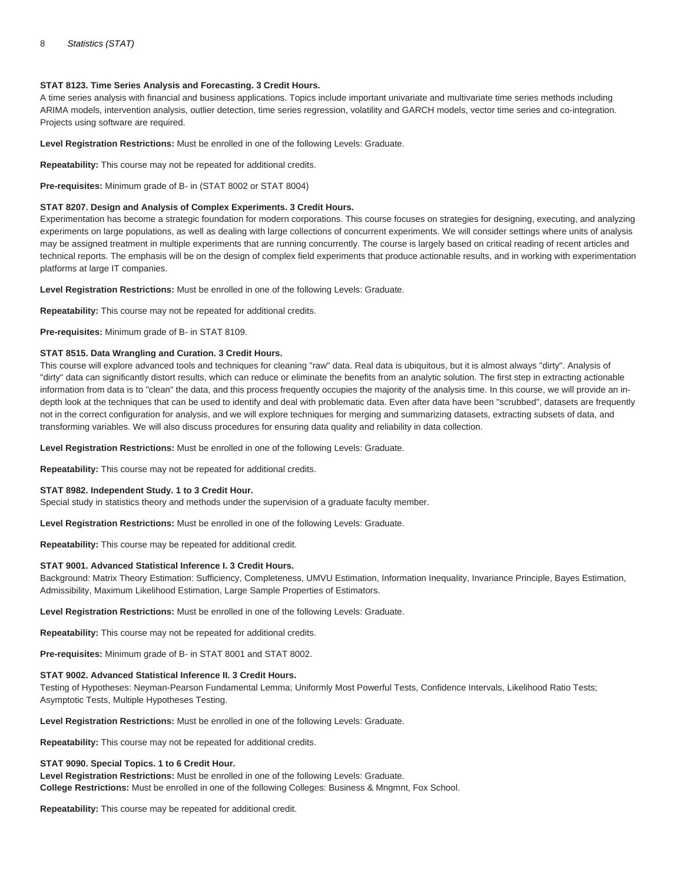# **STAT 8123. Time Series Analysis and Forecasting. 3 Credit Hours.**

A time series analysis with financial and business applications. Topics include important univariate and multivariate time series methods including ARIMA models, intervention analysis, outlier detection, time series regression, volatility and GARCH models, vector time series and co-integration. Projects using software are required.

**Level Registration Restrictions:** Must be enrolled in one of the following Levels: Graduate.

**Repeatability:** This course may not be repeated for additional credits.

**Pre-requisites:** Minimum grade of B- in (STAT 8002 or STAT 8004)

# **STAT 8207. Design and Analysis of Complex Experiments. 3 Credit Hours.**

Experimentation has become a strategic foundation for modern corporations. This course focuses on strategies for designing, executing, and analyzing experiments on large populations, as well as dealing with large collections of concurrent experiments. We will consider settings where units of analysis may be assigned treatment in multiple experiments that are running concurrently. The course is largely based on critical reading of recent articles and technical reports. The emphasis will be on the design of complex field experiments that produce actionable results, and in working with experimentation platforms at large IT companies.

**Level Registration Restrictions:** Must be enrolled in one of the following Levels: Graduate.

**Repeatability:** This course may not be repeated for additional credits.

**Pre-requisites:** Minimum grade of B- in STAT 8109.

# **STAT 8515. Data Wrangling and Curation. 3 Credit Hours.**

This course will explore advanced tools and techniques for cleaning "raw" data. Real data is ubiquitous, but it is almost always "dirty". Analysis of "dirty" data can significantly distort results, which can reduce or eliminate the benefits from an analytic solution. The first step in extracting actionable information from data is to "clean" the data, and this process frequently occupies the majority of the analysis time. In this course, we will provide an indepth look at the techniques that can be used to identify and deal with problematic data. Even after data have been "scrubbed", datasets are frequently not in the correct configuration for analysis, and we will explore techniques for merging and summarizing datasets, extracting subsets of data, and transforming variables. We will also discuss procedures for ensuring data quality and reliability in data collection.

**Level Registration Restrictions:** Must be enrolled in one of the following Levels: Graduate.

**Repeatability:** This course may not be repeated for additional credits.

# **STAT 8982. Independent Study. 1 to 3 Credit Hour.**

Special study in statistics theory and methods under the supervision of a graduate faculty member.

**Level Registration Restrictions:** Must be enrolled in one of the following Levels: Graduate.

**Repeatability:** This course may be repeated for additional credit.

# **STAT 9001. Advanced Statistical Inference I. 3 Credit Hours.**

Background: Matrix Theory Estimation: Sufficiency, Completeness, UMVU Estimation, Information Inequality, Invariance Principle, Bayes Estimation, Admissibility, Maximum Likelihood Estimation, Large Sample Properties of Estimators.

**Level Registration Restrictions:** Must be enrolled in one of the following Levels: Graduate.

**Repeatability:** This course may not be repeated for additional credits.

**Pre-requisites:** Minimum grade of B- in STAT 8001 and STAT 8002.

# **STAT 9002. Advanced Statistical Inference II. 3 Credit Hours.**

Testing of Hypotheses: Neyman-Pearson Fundamental Lemma; Uniformly Most Powerful Tests, Confidence Intervals, Likelihood Ratio Tests; Asymptotic Tests, Multiple Hypotheses Testing.

**Level Registration Restrictions:** Must be enrolled in one of the following Levels: Graduate.

**Repeatability:** This course may not be repeated for additional credits.

# **STAT 9090. Special Topics. 1 to 6 Credit Hour.**

**Level Registration Restrictions:** Must be enrolled in one of the following Levels: Graduate. **College Restrictions:** Must be enrolled in one of the following Colleges: Business & Mngmnt, Fox School.

**Repeatability:** This course may be repeated for additional credit.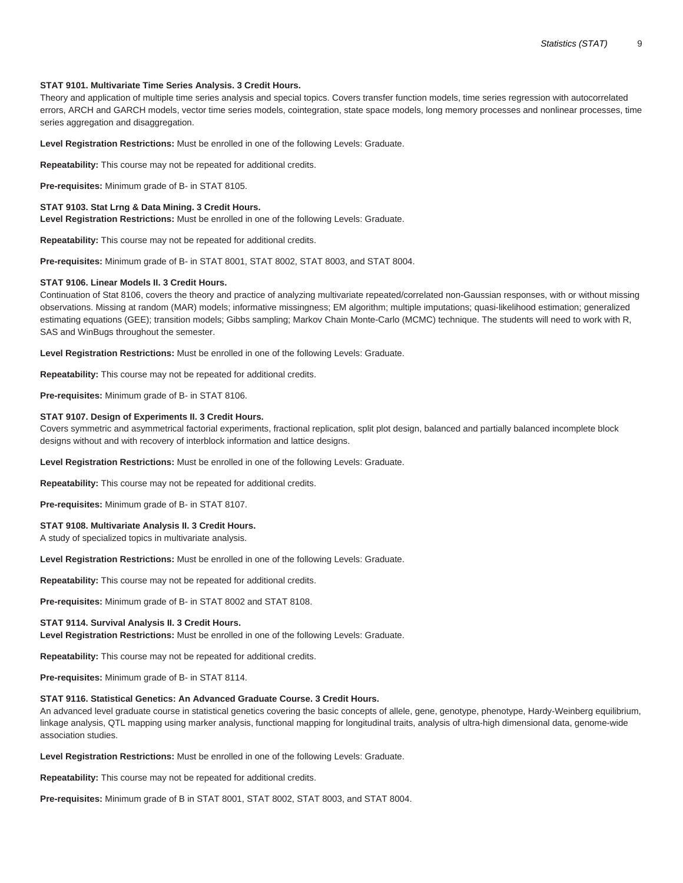## **STAT 9101. Multivariate Time Series Analysis. 3 Credit Hours.**

Theory and application of multiple time series analysis and special topics. Covers transfer function models, time series regression with autocorrelated errors, ARCH and GARCH models, vector time series models, cointegration, state space models, long memory processes and nonlinear processes, time series aggregation and disaggregation.

**Level Registration Restrictions:** Must be enrolled in one of the following Levels: Graduate.

**Repeatability:** This course may not be repeated for additional credits.

**Pre-requisites:** Minimum grade of B- in STAT 8105.

#### **STAT 9103. Stat Lrng & Data Mining. 3 Credit Hours.**

**Level Registration Restrictions:** Must be enrolled in one of the following Levels: Graduate.

**Repeatability:** This course may not be repeated for additional credits.

**Pre-requisites:** Minimum grade of B- in STAT 8001, STAT 8002, STAT 8003, and STAT 8004.

#### **STAT 9106. Linear Models II. 3 Credit Hours.**

Continuation of Stat 8106, covers the theory and practice of analyzing multivariate repeated/correlated non-Gaussian responses, with or without missing observations. Missing at random (MAR) models; informative missingness; EM algorithm; multiple imputations; quasi-likelihood estimation; generalized estimating equations (GEE); transition models; Gibbs sampling; Markov Chain Monte-Carlo (MCMC) technique. The students will need to work with R, SAS and WinBugs throughout the semester.

**Level Registration Restrictions:** Must be enrolled in one of the following Levels: Graduate.

**Repeatability:** This course may not be repeated for additional credits.

**Pre-requisites:** Minimum grade of B- in STAT 8106.

#### **STAT 9107. Design of Experiments II. 3 Credit Hours.**

Covers symmetric and asymmetrical factorial experiments, fractional replication, split plot design, balanced and partially balanced incomplete block designs without and with recovery of interblock information and lattice designs.

**Level Registration Restrictions:** Must be enrolled in one of the following Levels: Graduate.

**Repeatability:** This course may not be repeated for additional credits.

**Pre-requisites:** Minimum grade of B- in STAT 8107.

#### **STAT 9108. Multivariate Analysis II. 3 Credit Hours.**

A study of specialized topics in multivariate analysis.

**Level Registration Restrictions:** Must be enrolled in one of the following Levels: Graduate.

**Repeatability:** This course may not be repeated for additional credits.

**Pre-requisites:** Minimum grade of B- in STAT 8002 and STAT 8108.

#### **STAT 9114. Survival Analysis II. 3 Credit Hours.**

**Level Registration Restrictions:** Must be enrolled in one of the following Levels: Graduate.

**Repeatability:** This course may not be repeated for additional credits.

**Pre-requisites:** Minimum grade of B- in STAT 8114.

#### **STAT 9116. Statistical Genetics: An Advanced Graduate Course. 3 Credit Hours.**

An advanced level graduate course in statistical genetics covering the basic concepts of allele, gene, genotype, phenotype, Hardy-Weinberg equilibrium, linkage analysis, QTL mapping using marker analysis, functional mapping for longitudinal traits, analysis of ultra-high dimensional data, genome-wide association studies.

**Level Registration Restrictions:** Must be enrolled in one of the following Levels: Graduate.

**Repeatability:** This course may not be repeated for additional credits.

**Pre-requisites:** Minimum grade of B in STAT 8001, STAT 8002, STAT 8003, and STAT 8004.